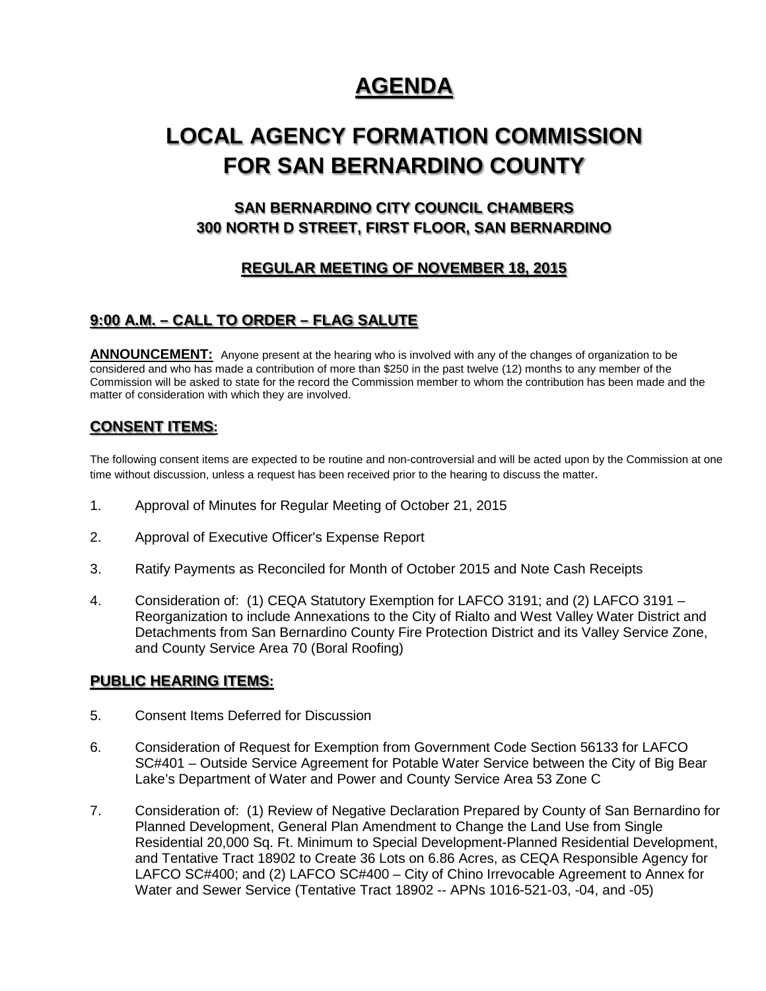# **AGENDA**

# **LOCAL AGENCY FORMATION COMMISSION FOR SAN BERNARDINO COUNTY**

# **SAN BERNARDINO CITY COUNCIL CHAMBERS 300 NORTH D STREET, FIRST FLOOR, SAN BERNARDINO**

## **REGULAR MEETING OF NOVEMBER 18, 2015**

### **9:00 A.M. – CALL TO ORDER – FLAG SALUTE**

**ANNOUNCEMENT:** Anyone present at the hearing who is involved with any of the changes of organization to be considered and who has made a contribution of more than \$250 in the past twelve (12) months to any member of the Commission will be asked to state for the record the Commission member to whom the contribution has been made and the matter of consideration with which they are involved.

### **CONSENT ITEMS:**

The following consent items are expected to be routine and non-controversial and will be acted upon by the Commission at one time without discussion, unless a request has been received prior to the hearing to discuss the matter.

- 1. Approval of Minutes for Regular Meeting of October 21, 2015
- 2. Approval of Executive Officer's Expense Report
- 3. Ratify Payments as Reconciled for Month of October 2015 and Note Cash Receipts
- 4. Consideration of: (1) CEQA Statutory Exemption for LAFCO 3191; and (2) LAFCO 3191 Reorganization to include Annexations to the City of Rialto and West Valley Water District and Detachments from San Bernardino County Fire Protection District and its Valley Service Zone, and County Service Area 70 (Boral Roofing)

#### **PUBLIC HEARING ITEMS:**

- 5. Consent Items Deferred for Discussion
- 6. Consideration of Request for Exemption from Government Code Section 56133 for LAFCO SC#401 – Outside Service Agreement for Potable Water Service between the City of Big Bear Lake's Department of Water and Power and County Service Area 53 Zone C
- 7. Consideration of: (1) Review of Negative Declaration Prepared by County of San Bernardino for Planned Development, General Plan Amendment to Change the Land Use from Single Residential 20,000 Sq. Ft. Minimum to Special Development-Planned Residential Development, and Tentative Tract 18902 to Create 36 Lots on 6.86 Acres, as CEQA Responsible Agency for LAFCO SC#400; and (2) LAFCO SC#400 – City of Chino Irrevocable Agreement to Annex for Water and Sewer Service (Tentative Tract 18902 -- APNs 1016-521-03, -04, and -05)